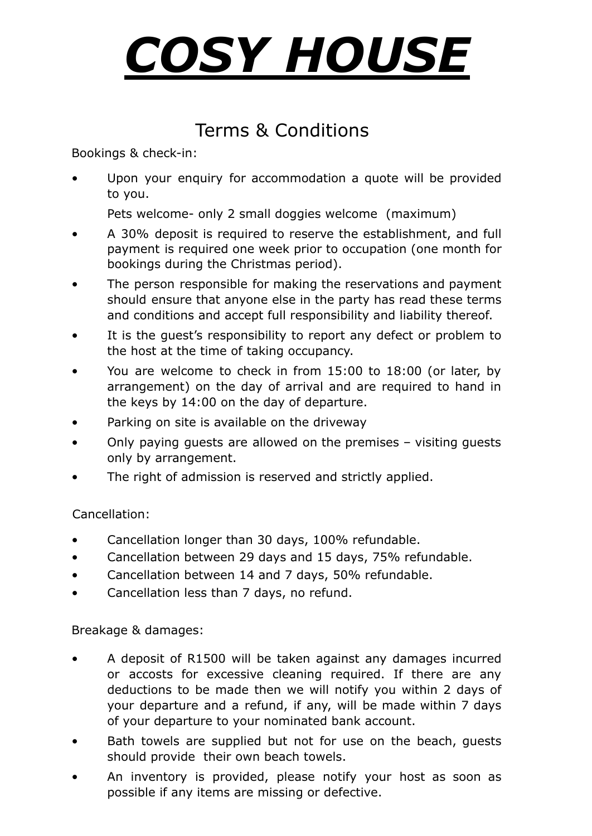## *COSY HOUSE*

## Terms & Conditions

Bookings & check-in:

Upon your enquiry for accommodation a quote will be provided to you.

Pets welcome- only 2 small doggies welcome (maximum)

- A 30% deposit is required to reserve the establishment, and full payment is required one week prior to occupation (one month for bookings during the Christmas period).
- The person responsible for making the reservations and payment should ensure that anyone else in the party has read these terms and conditions and accept full responsibility and liability thereof.
- It is the quest's responsibility to report any defect or problem to the host at the time of taking occupancy.
- You are welcome to check in from 15:00 to 18:00 (or later, by arrangement) on the day of arrival and are required to hand in the keys by 14:00 on the day of departure.
- Parking on site is available on the driveway
- Only paying guests are allowed on the premises visiting guests only by arrangement.
- The right of admission is reserved and strictly applied.

Cancellation:

- Cancellation longer than 30 days, 100% refundable.
- Cancellation between 29 days and 15 days, 75% refundable.
- Cancellation between 14 and 7 days, 50% refundable.
- Cancellation less than 7 days, no refund.

Breakage & damages:

- A deposit of R1500 will be taken against any damages incurred or accosts for excessive cleaning required. If there are any deductions to be made then we will notify you within 2 days of your departure and a refund, if any, will be made within 7 days of your departure to your nominated bank account.
- Bath towels are supplied but not for use on the beach, guests should provide their own beach towels.
- An inventory is provided, please notify your host as soon as possible if any items are missing or defective.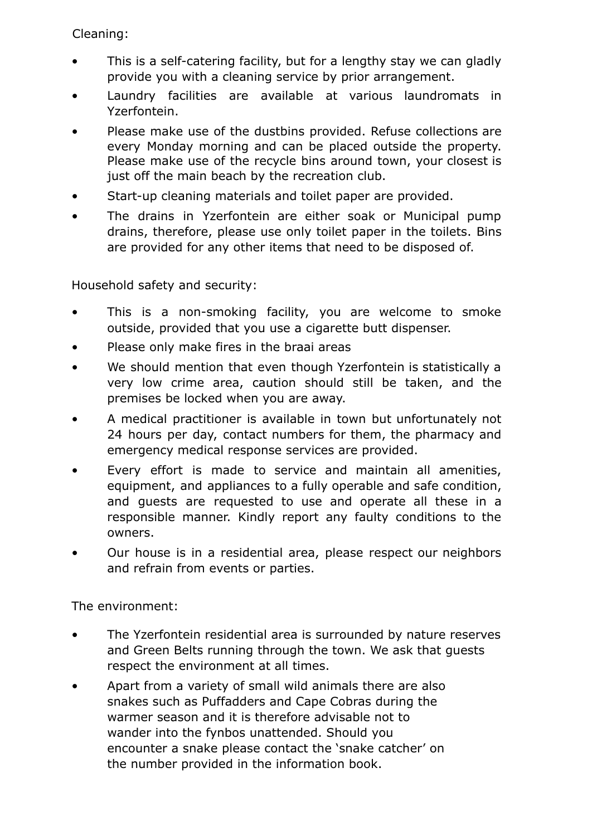Cleaning:

- This is a self-catering facility, but for a lengthy stay we can gladly provide you with a cleaning service by prior arrangement.
- Laundry facilities are available at various laundromats in Yzerfontein.
- Please make use of the dustbins provided. Refuse collections are every Monday morning and can be placed outside the property. Please make use of the recycle bins around town, your closest is just off the main beach by the recreation club.
- Start-up cleaning materials and toilet paper are provided.
- The drains in Yzerfontein are either soak or Municipal pump drains, therefore, please use only toilet paper in the toilets. Bins are provided for any other items that need to be disposed of.

Household safety and security:

- This is a non-smoking facility, you are welcome to smoke outside, provided that you use a cigarette butt dispenser.
- Please only make fires in the braai areas
- We should mention that even though Yzerfontein is statistically a very low crime area, caution should still be taken, and the premises be locked when you are away.
- A medical practitioner is available in town but unfortunately not 24 hours per day, contact numbers for them, the pharmacy and emergency medical response services are provided.
- Every effort is made to service and maintain all amenities, equipment, and appliances to a fully operable and safe condition, and guests are requested to use and operate all these in a responsible manner. Kindly report any faulty conditions to the owners.
- Our house is in a residential area, please respect our neighbors and refrain from events or parties.

The environment:

- The Yzerfontein residential area is surrounded by nature reserves and Green Belts running through the town. We ask that guests respect the environment at all times.
- Apart from a variety of small wild animals there are also snakes such as Puffadders and Cape Cobras during the warmer season and it is therefore advisable not to wander into the fynbos unattended. Should you encounter a snake please contact the 'snake catcher' on the number provided in the information book.